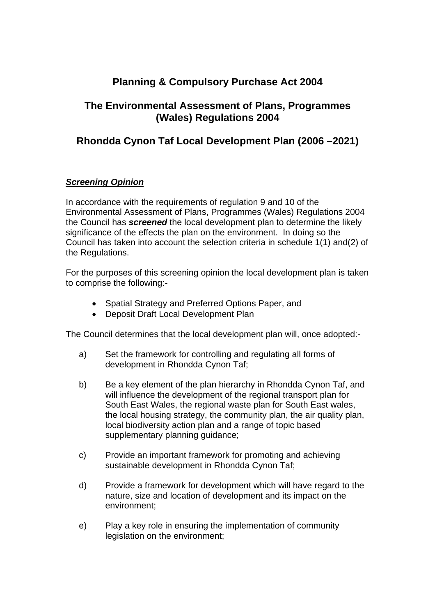## **Planning & Compulsory Purchase Act 2004**

## **The Environmental Assessment of Plans, Programmes (Wales) Regulations 2004**

## **Rhondda Cynon Taf Local Development Plan (2006 –2021)**

## *Screening Opinion*

In accordance with the requirements of regulation 9 and 10 of the Environmental Assessment of Plans, Programmes (Wales) Regulations 2004 the Council has *screened* the local development plan to determine the likely significance of the effects the plan on the environment. In doing so the Council has taken into account the selection criteria in schedule 1(1) and(2) of the Regulations.

For the purposes of this screening opinion the local development plan is taken to comprise the following:-

- Spatial Strategy and Preferred Options Paper, and
- Deposit Draft Local Development Plan

The Council determines that the local development plan will, once adopted:-

- a) Set the framework for controlling and regulating all forms of development in Rhondda Cynon Taf;
- b) Be a key element of the plan hierarchy in Rhondda Cynon Taf, and will influence the development of the regional transport plan for South East Wales, the regional waste plan for South East wales, the local housing strategy, the community plan, the air quality plan, local biodiversity action plan and a range of topic based supplementary planning guidance;
- c) Provide an important framework for promoting and achieving sustainable development in Rhondda Cynon Taf;
- d) Provide a framework for development which will have regard to the nature, size and location of development and its impact on the environment;
- e) Play a key role in ensuring the implementation of community legislation on the environment;